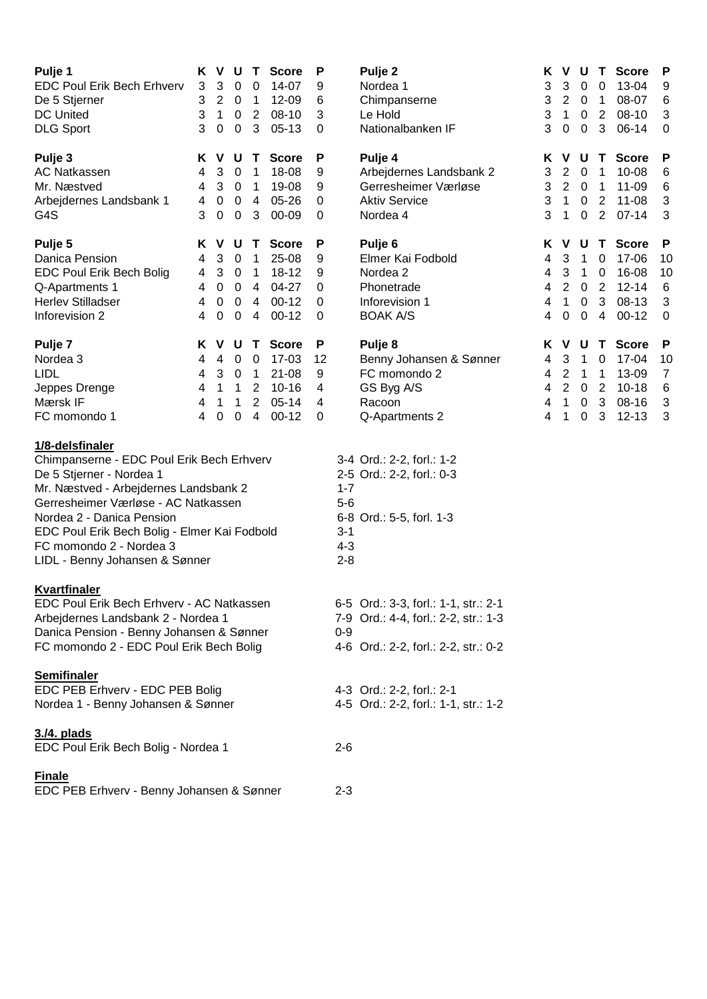| Pulje 1<br><b>EDC Poul Erik Bech Erhverv</b><br>De 5 Stjerner<br><b>DC United</b><br><b>DLG Sport</b>                                                                                                                                                                                                              | ĸ<br>3<br>3<br>3<br>3      | V<br>3<br>$\overline{2}$<br>$\mathbf{1}$<br>0   | U<br>0<br>$\mathbf 0$<br>$\mathbf 0$<br>$\pmb{0}$                             | T,<br>0<br>$\mathbf{1}$<br>$\overline{2}$<br>3                                                  | <b>Score</b><br>14-07<br>12-09<br>08-10<br>$05-13$                    | P<br>9<br>6<br>3<br>0       |                                                   | Pulje 2<br>Nordea 1<br>Chimpanserne<br>Le Hold<br>Nationalbanken IF                                                  | Κ<br>3<br>3<br>3<br>3      | V<br>3<br>$\overline{2}$<br>1<br>$\boldsymbol{0}$    | U<br>0<br>$\mathbf 0$<br>$\pmb{0}$<br>$\mathbf 0$              | T.<br>0<br>1<br>$\overline{2}$<br>3             | <b>Score</b><br>13-04<br>08-07<br>08-10<br>06-14                  | P<br>9<br>6<br>3<br>$\pmb{0}$                |
|--------------------------------------------------------------------------------------------------------------------------------------------------------------------------------------------------------------------------------------------------------------------------------------------------------------------|----------------------------|-------------------------------------------------|-------------------------------------------------------------------------------|-------------------------------------------------------------------------------------------------|-----------------------------------------------------------------------|-----------------------------|---------------------------------------------------|----------------------------------------------------------------------------------------------------------------------|----------------------------|------------------------------------------------------|----------------------------------------------------------------|-------------------------------------------------|-------------------------------------------------------------------|----------------------------------------------|
| Pulje 3<br><b>AC Natkassen</b><br>Mr. Næstved<br>Arbejdernes Landsbank 1<br>G4S                                                                                                                                                                                                                                    | K<br>4<br>4<br>4<br>3      | V<br>3<br>3<br>0<br>0                           | U<br>$\mathbf 0$<br>$\mathbf 0$<br>$\mathbf 0$<br>$\mathbf 0$                 | Т<br>1<br>$\mathbf 1$<br>4<br>3                                                                 | <b>Score</b><br>18-08<br>19-08<br>$05 - 26$<br>00-09                  | P<br>9<br>9<br>0<br>0       |                                                   | Pulje 4<br>Arbejdernes Landsbank 2<br>Gerresheimer Værløse<br><b>Aktiv Service</b><br>Nordea 4                       | Κ<br>3<br>3<br>3<br>3      | V<br>$\overline{2}$<br>$\overline{2}$<br>1<br>1      | U<br>$\mathbf 0$<br>$\overline{0}$<br>$\mathbf 0$<br>$\pmb{0}$ | T.<br>1<br>1<br>$\mathbf{2}$<br>$\overline{2}$  | <b>Score</b><br>10-08<br>11-09<br>$11 - 08$<br>$07-14$            | P<br>6<br>6<br>3<br>3                        |
| Pulje 5<br>Danica Pension<br>EDC Poul Erik Bech Bolig<br>Q-Apartments 1<br><b>Herlev Stilladser</b><br>Inforevision 2                                                                                                                                                                                              | K<br>4<br>4<br>4<br>4<br>4 | V<br>3<br>3<br>$\mathbf 0$<br>$\mathbf 0$<br>0  | U<br>$\mathbf 0$<br>$\mathbf 0$<br>$\mathbf 0$<br>$\mathbf 0$<br>$\mathbf 0$  | T<br>$\mathbf 1$<br>$\mathbf{1}$<br>4<br>4<br>4                                                 | <b>Score</b><br>25-08<br>$18 - 12$<br>04-27<br>$00-12$<br>$00-12$     | P<br>9<br>9<br>0<br>0<br>0  |                                                   | Pulje <sub>6</sub><br>Elmer Kai Fodbold<br>Nordea <sub>2</sub><br>Phonetrade<br>Inforevision 1<br><b>BOAK A/S</b>    | Κ<br>4<br>4<br>4<br>4<br>4 | V<br>3<br>3<br>$\overline{2}$<br>$\mathbf 1$<br>0    | U<br>$\mathbf 1$<br>1<br>$\mathbf 0$<br>$\pmb{0}$<br>0         | T.<br>$\mathbf 0$<br>$\mathbf 0$<br>2<br>3<br>4 | <b>Score</b><br>17-06<br>16-08<br>$12 - 14$<br>08-13<br>$00 - 12$ | P<br>10<br>10<br>6<br>3<br>$\mathbf 0$       |
| Pulje <sub>7</sub><br>Nordea 3<br><b>LIDL</b><br>Jeppes Drenge<br>Mærsk IF<br>FC momondo 1                                                                                                                                                                                                                         | ĸ<br>4<br>4<br>4<br>4<br>4 | V<br>4<br>3<br>$\mathbf{1}$<br>$\mathbf 1$<br>0 | U<br>$\mathbf 0$<br>$\mathbf 0$<br>$\mathbf 1$<br>$\mathbf{1}$<br>$\mathbf 0$ | T<br>$\mathbf 0$<br>$\mathbf{1}$<br>$\overline{2}$<br>$\overline{2}$<br>$\overline{\mathbf{4}}$ | <b>Score</b><br>17-03<br>$21 - 08$<br>$10 - 16$<br>$05-14$<br>$00-12$ | P<br>12<br>9<br>4<br>4<br>0 |                                                   | Pulje <sub>8</sub><br>Benny Johansen & Sønner<br>FC momondo 2<br>GS Byg A/S<br>Racoon<br>Q-Apartments 2              | Κ<br>4<br>4<br>4<br>4<br>4 | V<br>3<br>$\overline{2}$<br>$\overline{2}$<br>1<br>1 | U<br>1<br>1<br>$\mathbf 0$<br>$\pmb{0}$<br>$\pmb{0}$           | T<br>$\mathbf 0$<br>1<br>2<br>3<br>3            | <b>Score</b><br>17-04<br>13-09<br>$10 - 18$<br>08-16<br>$12 - 13$ | P<br>10<br>$\overline{7}$<br>$\,6$<br>3<br>3 |
| 1/8-delsfinaler<br>Chimpanserne - EDC Poul Erik Bech Erhverv<br>De 5 Stjerner - Nordea 1<br>Mr. Næstved - Arbejdernes Landsbank 2<br>Gerresheimer Værløse - AC Natkassen<br>Nordea 2 - Danica Pension<br>EDC Poul Erik Bech Bolig - Elmer Kai Fodbold<br>FC momondo 2 - Nordea 3<br>LIDL - Benny Johansen & Sønner |                            |                                                 |                                                                               |                                                                                                 |                                                                       |                             | $1 - 7$<br>$5-6$<br>$3 - 1$<br>$4 - 3$<br>$2 - 8$ | 3-4 Ord.: 2-2, forl.: 1-2<br>2-5 Ord.: 2-2, forl.: 0-3<br>6-8 Ord.: 5-5, forl. 1-3                                   |                            |                                                      |                                                                |                                                 |                                                                   |                                              |
| Kvartfinaler<br>EDC Poul Erik Bech Erhverv - AC Natkassen<br>Arbejdernes Landsbank 2 - Nordea 1<br>Danica Pension - Benny Johansen & Sønner<br>FC momondo 2 - EDC Poul Erik Bech Bolig                                                                                                                             |                            |                                                 |                                                                               |                                                                                                 |                                                                       |                             |                                                   | 6-5 Ord.: 3-3, forl.: 1-1, str.: 2-1<br>7-9 Ord.: 4-4, forl.: 2-2, str.: 1-3<br>4-6 Ord.: 2-2, forl.: 2-2, str.: 0-2 |                            |                                                      |                                                                |                                                 |                                                                   |                                              |
| <b>Semifinaler</b><br>EDC PEB Erhverv - EDC PEB Bolig<br>Nordea 1 - Benny Johansen & Sønner                                                                                                                                                                                                                        |                            |                                                 |                                                                               |                                                                                                 |                                                                       |                             |                                                   | 4-3 Ord.: 2-2, forl.: 2-1<br>4-5 Ord.: 2-2, forl.: 1-1, str.: 1-2                                                    |                            |                                                      |                                                                |                                                 |                                                                   |                                              |
| 3./4. plads<br>EDC Poul Erik Bech Bolig - Nordea 1                                                                                                                                                                                                                                                                 |                            |                                                 |                                                                               |                                                                                                 |                                                                       |                             |                                                   |                                                                                                                      |                            |                                                      |                                                                |                                                 |                                                                   |                                              |
| <b>Finale</b><br>EDC PEB Erhverv - Benny Johansen & Sønner                                                                                                                                                                                                                                                         |                            |                                                 |                                                                               |                                                                                                 |                                                                       |                             |                                                   |                                                                                                                      |                            |                                                      |                                                                |                                                 |                                                                   |                                              |